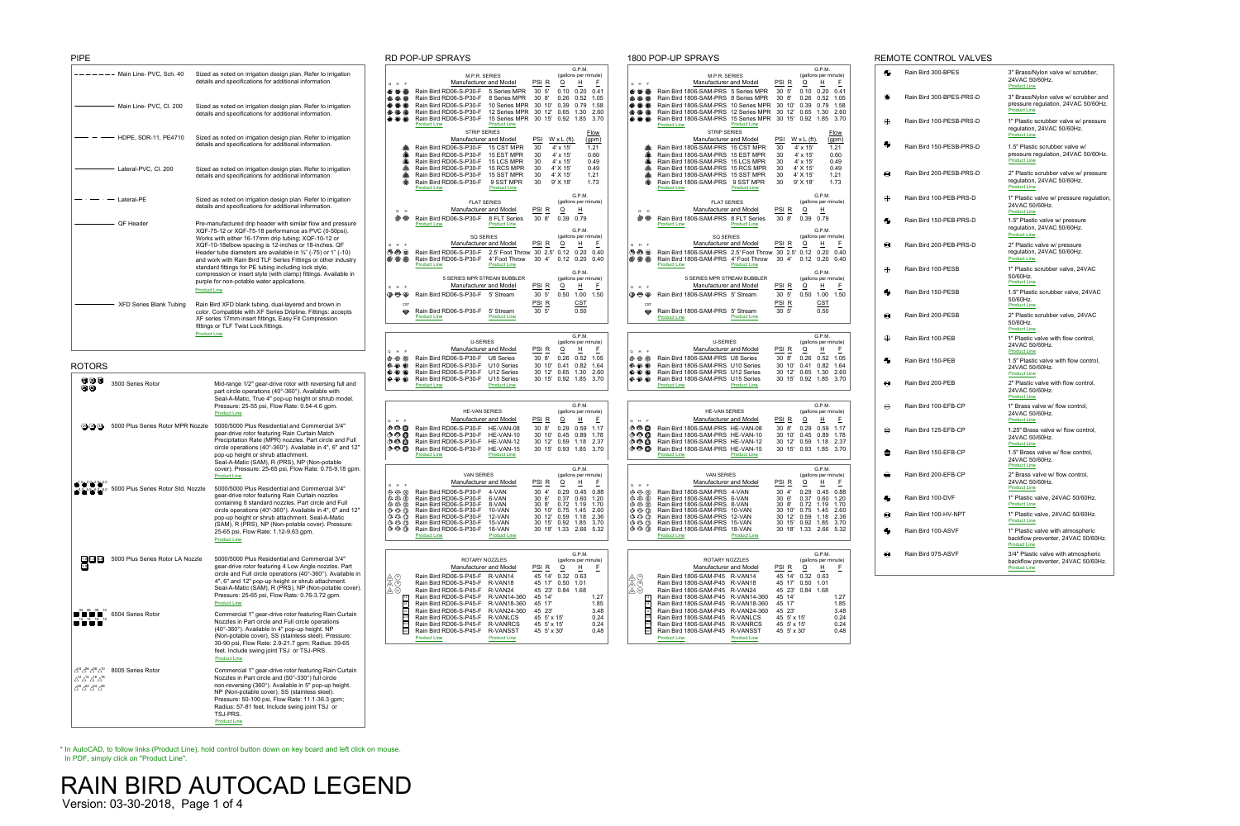|                                                                                                          | NU FUF-UF OFNATO                                                     |                                                                  | UUU FUFFUF OFNATO                                                                                                                                                                                                                                                                                                                                                                                                               |
|----------------------------------------------------------------------------------------------------------|----------------------------------------------------------------------|------------------------------------------------------------------|---------------------------------------------------------------------------------------------------------------------------------------------------------------------------------------------------------------------------------------------------------------------------------------------------------------------------------------------------------------------------------------------------------------------------------|
|                                                                                                          |                                                                      | G.P.M.                                                           | G.P.M.                                                                                                                                                                                                                                                                                                                                                                                                                          |
|                                                                                                          | M.P.R. SERIES                                                        | (gallons per minute)                                             | (gallons per minute)<br>M.P.R. SERIES                                                                                                                                                                                                                                                                                                                                                                                           |
| Q H F                                                                                                    | <b>Manufacturer and Model</b>                                        | PSI <sub>R</sub><br>H<br>E<br>$\overline{Q}$                     | PSI <sub>R</sub><br>$\overline{\mathsf{H}}$<br><b>Manufacturer and Model</b><br>$\overline{Q}$<br>E<br>Q H F                                                                                                                                                                                                                                                                                                                    |
| $\quad \bullet$ $\circledcirc$                                                                           | Rain Bird RD06-S-P30-F<br>5 Series MPR                               | 30 5'<br>0.20<br>0.10<br>0.41                                    | $\, \, \oplus \,\, \oplus$<br>Rain Bird 1806-SAM-PRS 5 Series MPR<br>30 5'<br>0.20<br>0.41<br>0.10                                                                                                                                                                                                                                                                                                                              |
| $\bullet$ $\bullet$ $\bullet$                                                                            | Rain Bird RD06-S-P30-F<br>8 Series MPR                               | 0.26<br>0.52<br>30 <sub>8</sub><br>1.05                          | $\mathbf{O} \otimes \mathbf{O}$<br>Rain Bird 1806-SAM-PRS 8 Series MPR<br>30 8'<br>0.52<br>0.26<br>1.05                                                                                                                                                                                                                                                                                                                         |
| $\mathbf{0}$ $\mathbf{0}$ $\mathbf{0}$                                                                   | Rain Bird RD06-S-P30-F<br>10 Series MPR                              | 0.39<br>0.79<br>30 10'<br>1.58                                   | $\mathbf{O} \oplus \mathbf{O}$<br>Rain Bird 1806-SAM-PRS<br>30<br>0.39<br>0.79<br>10 Series MPR<br>$10^{\circ}$<br>1.58                                                                                                                                                                                                                                                                                                         |
| 222                                                                                                      | Rain Bird RD06-S-P30-F<br>12 Series MPR                              | 30<br>12'<br>0.65<br>1.30<br>2.60                                | $\bullet$ $\bullet$ $\bullet$<br>Rain Bird 1806-SAM-PRS 12 Series MPR<br>30<br>12'<br>0.65<br>1.30<br>2.60                                                                                                                                                                                                                                                                                                                      |
| $\mathbf{C}$ $\mathbf{C}$ $\mathbf{C}$                                                                   | Rain Bird RD06-S-P30-F<br>15 Series MPR                              | 30 15'<br>0.92<br>3.70<br>1.85                                   | Rain Bird 1806-SAM-PRS<br>15 Series MPR<br>30 15'<br>0.92<br>1.85<br>3.70<br>$\circledR$ $\circledR$                                                                                                                                                                                                                                                                                                                            |
|                                                                                                          | <b>Product Line</b><br><b>Product Line</b>                           |                                                                  | <b>Product Line</b><br><b>Product Line</b>                                                                                                                                                                                                                                                                                                                                                                                      |
|                                                                                                          | <b>STRIP SERIES</b>                                                  | <b>Flow</b>                                                      | <b>STRIP SERIES</b><br><b>Flow</b>                                                                                                                                                                                                                                                                                                                                                                                              |
|                                                                                                          | <b>Manufacturer and Model</b>                                        | <u>PSI</u><br>$W \times L$ (ft).<br>(gpm)                        | <b>Manufacturer and Model</b><br><b>PSI</b><br>$W \times L$ (ft).<br><u>(gpm)</u>                                                                                                                                                                                                                                                                                                                                               |
| O                                                                                                        | Rain Bird RD06-S-P30-F<br>15 CST MPR                                 | 1.21<br>30<br>4' x 15'                                           | Rain Bird 1806-SAM-PRS 15 CST MPR<br>30<br>չ<br>$4' \times 15'$<br>1.21                                                                                                                                                                                                                                                                                                                                                         |
| ❹                                                                                                        | Rain Bird RD06-S-P30-F<br>15 EST MPR                                 | 4' x 15'<br>0.60<br>30                                           | ❹<br>0.60<br>Rain Bird 1806-SAM-PRS 15 EST MPR<br>30<br>4' x 15'                                                                                                                                                                                                                                                                                                                                                                |
| ❹                                                                                                        | <b>15 LCS MPR</b><br>Rain Bird RD06-S-P30-F                          | 30<br>0.49<br>$4' \times 15'$                                    | ❹<br>Rain Bird 1806-SAM-PRS<br>15 LCS MPR<br>30<br>4' x 15'<br>0.49                                                                                                                                                                                                                                                                                                                                                             |
| ❹                                                                                                        | Rain Bird RD06-S-P30-F<br>15 RCS MPR                                 | 4' X 15'<br>0.49<br>30                                           | ♦<br>Rain Bird 1806-SAM-PRS<br>15 RCS MPR<br>30<br>4' X 15'<br>0.49                                                                                                                                                                                                                                                                                                                                                             |
| S                                                                                                        | Rain Bird RD06-S-P30-F<br>15 SST MPR                                 | 4' X 15'<br>30<br>1.21                                           | S<br>Rain Bird 1806-SAM-PRS<br>15 SST MPR<br>30<br>4' X 15'<br>1.21                                                                                                                                                                                                                                                                                                                                                             |
| ∕                                                                                                        | Rain Bird RD06-S-P30-F<br>9 SST MPR                                  | 9' X 18'<br>1.73<br>30                                           | ⚠<br>Rain Bird 1806-SAM-PRS<br>9 SST MPR<br>9' X 18'<br>1.73<br>30                                                                                                                                                                                                                                                                                                                                                              |
|                                                                                                          | <b>Product Line</b><br><b>Product Line</b>                           |                                                                  | <b>Product Line</b><br><b>Product Line</b>                                                                                                                                                                                                                                                                                                                                                                                      |
|                                                                                                          |                                                                      | G.P.M.                                                           | G.P.M.                                                                                                                                                                                                                                                                                                                                                                                                                          |
|                                                                                                          | <b>FLAT SERIES</b>                                                   | (gallons per minute)                                             | (gallons per minute)<br><b>FLAT SERIES</b>                                                                                                                                                                                                                                                                                                                                                                                      |
| $Q$ H                                                                                                    | <b>Manufacturer and Model</b>                                        | PSI R<br>H<br>$\overline{O}$                                     | PSI <sub>R</sub><br>$\overline{Q}$<br>$\overline{\mathsf{H}}$<br><b>Manufacturer and Model</b><br>Q H                                                                                                                                                                                                                                                                                                                           |
| $\circ$                                                                                                  | Rain Bird RD06-S-P30-F<br>8 FLT Series                               | 0.39<br>308'<br>0.79                                             | $\circledcirc$<br>Rain Bird 1806-SAM-PRS 8 FLT Series<br>30 8'<br>0.39<br>0.79                                                                                                                                                                                                                                                                                                                                                  |
|                                                                                                          | <b>Product Line</b><br><b>Product Line</b>                           |                                                                  | <b>Product Line</b><br><b>Product Line</b>                                                                                                                                                                                                                                                                                                                                                                                      |
|                                                                                                          |                                                                      | G.P.M.                                                           | G.P.M.                                                                                                                                                                                                                                                                                                                                                                                                                          |
|                                                                                                          | <b>SQ SERIES</b>                                                     | (gallons per minute)                                             | (gallons per minute)<br><b>SQ SERIES</b>                                                                                                                                                                                                                                                                                                                                                                                        |
| Q H F                                                                                                    | <b>Manufacturer and Model</b>                                        | PSI <sub>R</sub><br>E<br>$\overline{Q}$<br>H                     | PSI <sub>R</sub><br>H<br>$\overline{Q}$<br>F<br><b>Manufacturer and Model</b><br>Q H F                                                                                                                                                                                                                                                                                                                                          |
| $\circledcirc$                                                                                           | Rain Bird RD06-S-P30-F<br>2.5' Foot Throw                            | 30 2.5'<br>0.12<br>0.20<br>0.40                                  | $\begin{picture}(45,10) \put(0,0){\line(1,0){10}} \put(15,0){\line(1,0){10}} \put(15,0){\line(1,0){10}} \put(15,0){\line(1,0){10}} \put(15,0){\line(1,0){10}} \put(15,0){\line(1,0){10}} \put(15,0){\line(1,0){10}} \put(15,0){\line(1,0){10}} \put(15,0){\line(1,0){10}} \put(15,0){\line(1,0){10}} \put(15,0){\line(1,0){10}} \put(15,0){\line(1$<br>30 2.5<br>Rain Bird 1806-SAM-PRS 2.5' Foot Throw<br>0.12<br>0.20<br>0.40 |
| $\bigoplus$ $\bigoplus$ $\bigoplus$                                                                      | Rain Bird RD06-S-P30-F<br>4' Foot Throw                              | 30 4'<br>0.12<br>0.20<br>0.40                                    | $\bullet$ $\bullet$ $\bullet$<br>Rain Bird 1806-SAM-PRS<br>4' Foot Throw<br>30 4'<br>0.20<br>0.12<br>0.40                                                                                                                                                                                                                                                                                                                       |
|                                                                                                          | <b>Product Line</b><br><b>Product Line</b>                           |                                                                  | <b>Product Line</b><br><b>Product Line</b>                                                                                                                                                                                                                                                                                                                                                                                      |
|                                                                                                          |                                                                      | G.P.M.                                                           | G.P.M.                                                                                                                                                                                                                                                                                                                                                                                                                          |
|                                                                                                          | 5 SERIES MPR STREAM BUBBLER                                          | (gallons per minute)                                             | 5 SERIES MPR STREAM BUBBLER<br>(gallons per minute)                                                                                                                                                                                                                                                                                                                                                                             |
| Q H F                                                                                                    | <b>Manufacturer and Model</b>                                        | PSI <sub>R</sub><br>H<br>E<br>Q                                  | PSI <sub>R</sub><br><b>Manufacturer and Model</b><br>H<br>$\overline{Q}$<br>E<br>Q H F                                                                                                                                                                                                                                                                                                                                          |
| $\mathcal{P}$<br>$\langle \mathbb{Q} \rangle$                                                            | Rain Bird RD06-S-P30-F<br>5' Stream                                  | 0.50<br>1.00<br>30 <sub>5</sub><br>1.50                          | 30 5'<br>Rain Bird 1806-SAM-PRS 5' Stream<br>0.50<br>1.00<br>1.50<br>$\overline{\mathbb{Q}} \oplus \overline{\mathbb{Q}}$                                                                                                                                                                                                                                                                                                       |
| <b>CST</b>                                                                                               |                                                                      | <b>CST</b><br>PSI <sub>R</sub>                                   | PSI <sub>R</sub><br><b>CST</b><br><b>CST</b>                                                                                                                                                                                                                                                                                                                                                                                    |
| $\ominus$                                                                                                | Rain Bird RD06-S-P30-F<br>5' Stream                                  | 30 5'<br>0.50                                                    | 30 5'<br>0.50<br>Rain Bird 1806-SAM-PRS<br>5' Stream                                                                                                                                                                                                                                                                                                                                                                            |
|                                                                                                          | <b>Product Line</b><br><b>Product Line</b>                           |                                                                  | $\ominus$<br><b>Product Line</b><br><b>Product Line</b>                                                                                                                                                                                                                                                                                                                                                                         |
|                                                                                                          |                                                                      |                                                                  |                                                                                                                                                                                                                                                                                                                                                                                                                                 |
|                                                                                                          |                                                                      |                                                                  |                                                                                                                                                                                                                                                                                                                                                                                                                                 |
|                                                                                                          |                                                                      | G.P.M.                                                           | G.P.M.                                                                                                                                                                                                                                                                                                                                                                                                                          |
|                                                                                                          | <b>U-SERIES</b>                                                      | (gallons per minute)                                             | <b>U-SERIES</b><br>(gallons per minute)                                                                                                                                                                                                                                                                                                                                                                                         |
| Q H F                                                                                                    | <b>Manufacturer and Model</b>                                        | PSI R<br>H<br>E<br>$\overline{\sigma}$                           | <b>Manufacturer and Model</b><br>PSI R<br>$\overline{Q}$<br>H<br>F<br>Q H F                                                                                                                                                                                                                                                                                                                                                     |
| $\circledcirc$ $\circledcirc$                                                                            | Rain Bird RD06-S-P30-F<br><b>U8 Series</b>                           | 30 8'<br>0.26<br>0.52<br>1.05                                    | $\circledcirc$ $\circledcirc$<br>30 8'<br>Rain Bird 1806-SAM-PRS U8 Series<br>0.26<br>0.52<br>1.05                                                                                                                                                                                                                                                                                                                              |
| $\circledcirc \circledcirc \circledcirc$                                                                 | Rain Bird RD06-S-P30-F<br>U10 Series                                 | 30 10'<br>0.82<br>1.64<br>0.41                                   | $\circledcirc \circledcirc \circledcirc$<br>Rain Bird 1806-SAM-PRS U10 Series<br>30<br>10'<br>0.82<br>0.41<br>1.64                                                                                                                                                                                                                                                                                                              |
| @@@                                                                                                      | Rain Bird RD06-S-P30-F<br>U12 Series                                 | 30 12'<br>0.65<br>1.30<br>2.60                                   | @ @ @<br>Rain Bird 1806-SAM-PRS U12 Series<br>12'<br>1.30<br>2.60<br>30<br>0.65                                                                                                                                                                                                                                                                                                                                                 |
| <b>@@@</b>                                                                                               | Rain Bird RD06-S-P30-F<br>U15 Series                                 | 30 15'<br>0.92<br>1.85<br>3.70                                   | @ @ @<br>15'<br>1.85<br>3.70<br>Rain Bird 1806-SAM-PRS U15 Series<br>30<br>0.92                                                                                                                                                                                                                                                                                                                                                 |
|                                                                                                          | <b>Product Line</b><br><b>Product Line</b>                           |                                                                  | <b>Product Line</b><br><b>Product Line</b>                                                                                                                                                                                                                                                                                                                                                                                      |
|                                                                                                          |                                                                      |                                                                  |                                                                                                                                                                                                                                                                                                                                                                                                                                 |
|                                                                                                          |                                                                      |                                                                  | G.P.M.                                                                                                                                                                                                                                                                                                                                                                                                                          |
|                                                                                                          | <b>HE-VAN SERIES</b>                                                 | G.P.M.<br>(gallons per minute)                                   | <b>HE-VAN SERIES</b><br>(gallons per minute)                                                                                                                                                                                                                                                                                                                                                                                    |
|                                                                                                          | <b>Manufacturer and Model</b>                                        |                                                                  | PSI <sub>R</sub><br><b>Manufacturer and Model</b><br>F                                                                                                                                                                                                                                                                                                                                                                          |
| Q H F                                                                                                    |                                                                      | $E_{\parallel}$<br>PSI R<br>H<br>$\overline{Q}$                  | $\overline{Q}$<br>H<br>Q H F                                                                                                                                                                                                                                                                                                                                                                                                    |
| $\circledcirc$ $\circledcirc$                                                                            | Rain Bird RD06-S-P30-F<br>HE-VAN-08                                  | 308'<br>0.29<br>0.59<br>1.17                                     | $\circledcirc$ $\circledcirc$<br>Rain Bird 1806-SAM-PRS HE-VAN-08<br>30<br>$8^{\prime}$<br>0.29<br>0.59<br>1.17                                                                                                                                                                                                                                                                                                                 |
| $\circledcirc \circledcirc \circledcirc$                                                                 |                                                                      |                                                                  |                                                                                                                                                                                                                                                                                                                                                                                                                                 |
|                                                                                                          | Rain Bird RD06-S-P30-F<br>HE-VAN-10                                  | 0.89<br>30 10'<br>0.45<br>1.78                                   | $\circledcirc \circledcirc$<br>0.89<br>Rain Bird 1806-SAM-PRS HE-VAN-10<br>30<br>$10^{\circ}$<br>0.45<br>1.78                                                                                                                                                                                                                                                                                                                   |
| $\n  D\n  D$                                                                                             | Rain Bird RD06-S-P30-F<br>HE-VAN-12                                  | 30 12<br>0.59<br>1.18<br>2.37                                    | $\circledcirc$ $\circledcirc$<br>12'<br>1.18<br>2.37<br>Rain Bird 1806-SAM-PRS HE-VAN-12<br>30<br>0.59                                                                                                                                                                                                                                                                                                                          |
| $\circledcirc$ $\circledcirc$                                                                            | Rain Bird RD06-S-P30-F<br>HE-VAN-15                                  | 30 15'<br>3.70<br>0.93<br>1.85                                   | $\circledcirc$ $\circledcirc$<br>Rain Bird 1806-SAM-PRS HE-VAN-15<br>15'<br>1.85<br>3.70<br>30<br>0.93                                                                                                                                                                                                                                                                                                                          |
|                                                                                                          | <b>Product Line</b><br><b>Product Line</b>                           |                                                                  | <b>Product Line</b><br><b>Product Line</b>                                                                                                                                                                                                                                                                                                                                                                                      |
|                                                                                                          |                                                                      |                                                                  |                                                                                                                                                                                                                                                                                                                                                                                                                                 |
|                                                                                                          |                                                                      | G.P.M.                                                           | G.P.M.                                                                                                                                                                                                                                                                                                                                                                                                                          |
|                                                                                                          | <b>VAN SERIES</b>                                                    | (gallons per minute)                                             | <b>VAN SERIES</b><br>(gallons per minute)                                                                                                                                                                                                                                                                                                                                                                                       |
| Q H F                                                                                                    | <b>Manufacturer and Model</b>                                        | PSI R<br>E<br>H<br>Q                                             | PSI R<br>F<br><b>Manufacturer and Model</b><br>$\overline{Q}$<br>H<br>Q H F                                                                                                                                                                                                                                                                                                                                                     |
| $\textcircled{4}\textcircled{4}\textcircled{4}$                                                          | Rain Bird RD06-S-P30-F<br>4-VAN                                      | 4'<br>0.45<br>0.88<br>30<br>0.29                                 | $\circledcirc \circledcirc \circledcirc$<br>Rain Bird 1806-SAM-PRS 4-VAN<br>30<br>0.29<br>0.45<br>0.88<br>4'                                                                                                                                                                                                                                                                                                                    |
| $\circledcirc$ $\circledcirc$                                                                            | Rain Bird RD06-S-P30-F<br>6-VAN                                      | 30<br>6'<br>0.60<br>0.37<br>1.20                                 | $\circledcirc \circledcirc \circledcirc$<br>30<br>Rain Bird 1806-SAM-PRS 6-VAN<br>6'<br>0.37<br>0.60<br>1.20                                                                                                                                                                                                                                                                                                                    |
| $\circledS \circledcirc$<br>®                                                                            | Rain Bird RD06-S-P30-F<br>8-VAN                                      | 30 8'<br>0.72<br>1.19<br>1.70                                    | $\circledcirc \circledcirc \circledcirc$<br>30<br>$8^{\prime}$<br>0.72<br>1.19<br>Rain Bird 1806-SAM-PRS 8-VAN<br>1.70                                                                                                                                                                                                                                                                                                          |
|                                                                                                          | Rain Bird RD06-S-P30-F<br>10-VAN                                     | 30 10'<br>0.75<br>2.60<br>1.45                                   | $\circledcirc \circledcirc \circledcirc$<br>30<br>10'<br>Rain Bird 1806-SAM-PRS 10-VAN<br>0.75<br>2.60<br>1.45                                                                                                                                                                                                                                                                                                                  |
| $\begin{array}{c} \circ & \circ & \circ \\ \circ & \circ & \circ \end{array}$<br>$\odot$ $\odot$ $\odot$ | Rain Bird RD06-S-P30-F<br>12-VAN<br>Rain Bird RD06-S-P30-F<br>15-VAN | 30 12'<br>2.36<br>0.59<br>1.18<br>30 15'<br>0.92<br>1.85<br>3.70 | $\circledcirc$<br>Rain Bird 1806-SAM-PRS 12-VAN<br>30<br>12'<br>0.59<br>2.36<br>1.18<br>Rain Bird 1806-SAM-PRS<br>30<br>15'<br>0.92<br>3.70<br>15-VAN<br>1.85                                                                                                                                                                                                                                                                   |
| $\circledcirc$ $\circledcirc$                                                                            | Rain Bird RD06-S-P30-F<br>18-VAN                                     | 30 18'<br>1.33<br>2.66 5.32                                      | $\odot$ $\odot$ $\odot$<br>$\circledcirc \circledcirc \circledcirc$<br>1.33<br>Rain Bird 1806-SAM-PRS<br>30<br>18'<br>2.66<br>18-VAN<br>5.32                                                                                                                                                                                                                                                                                    |
|                                                                                                          | <b>Product Line</b><br><b>Product Line</b>                           |                                                                  | <b>Product Line</b><br><b>Product Line</b>                                                                                                                                                                                                                                                                                                                                                                                      |
|                                                                                                          |                                                                      |                                                                  |                                                                                                                                                                                                                                                                                                                                                                                                                                 |
|                                                                                                          |                                                                      |                                                                  |                                                                                                                                                                                                                                                                                                                                                                                                                                 |
|                                                                                                          |                                                                      | G.P.M.                                                           | G.P.M.<br><b>ROTARY NOZZLES</b>                                                                                                                                                                                                                                                                                                                                                                                                 |
|                                                                                                          | ROTARY NOZZLES<br><b>Manufacturer and Model</b>                      | (gallons per minute)<br>H<br>PSI R<br>$\overline{Q}$<br>E        | (gallons per minute)<br>$\overline{\mathsf{H}}$<br><b>Manufacturer and Model</b><br>Q<br>PSI R<br>E                                                                                                                                                                                                                                                                                                                             |

| RUTART NUZZLES                  |                     |                  | (ganoris per minute) |      |      |
|---------------------------------|---------------------|------------------|----------------------|------|------|
| <b>Manufacturer and Model</b>   |                     | PSI <sub>R</sub> | Q                    | H    | F.   |
| Rain Bird RD06-S-P45-F          | R-VAN14             | 45 14'           | 0.32                 | 0.63 |      |
| Rain Bird RD06-S-P45-F R-VAN18  |                     | 45 17'           | 0.50                 | 1.01 |      |
| Rain Bird RD06-S-P45-F          | R-VAN <sub>24</sub> | 45 23'           | 0.84                 | 1.68 |      |
| Rain Bird RD06-S-P45-F          | R-VAN14-360         | 45 14'           |                      |      | 1.27 |
| Rain Bird RD06-S-P45-F          | R-VAN18-360         | 45 17'           |                      |      | 1.85 |
| Rain Bird RD06-S-P45-F          | R-VAN24-360         | 45 23'           |                      |      | 3.48 |
| Rain Bird RD06-S-P45-F          | R-VANLCS            | 45 5' x 15'      |                      |      | 0.24 |
| Rain Bird RD06-S-P45-F          | R-VANRCS            | 45 5' x 15'      |                      |      | 0.24 |
| Rain Bird RD06-S-P45-F R-VANSST |                     | 45 5' x 30'      |                      |      | 0.48 |
| <b>Product Line</b>             | <b>Product Line</b> |                  |                      |      |      |

| PIPE |                                |                                                                                                                                                                                                                                                                                                                                                                                                                                                                                                                                                                                  | <b>RD POP-UP</b>                                                                                        |                                                  |
|------|--------------------------------|----------------------------------------------------------------------------------------------------------------------------------------------------------------------------------------------------------------------------------------------------------------------------------------------------------------------------------------------------------------------------------------------------------------------------------------------------------------------------------------------------------------------------------------------------------------------------------|---------------------------------------------------------------------------------------------------------|--------------------------------------------------|
|      | Main Line- PVC, Sch. 40        | Sized as noted on irrigation design plan. Refer to irrigation<br>details and specifications for additional information.                                                                                                                                                                                                                                                                                                                                                                                                                                                          | Q H F<br>$\bullet$ $\bullet$ $\bullet$                                                                  | Rain B                                           |
|      | Main Line- PVC, Cl. 200        | Sized as noted on irrigation design plan. Refer to irrigation<br>details and specifications for additional information.                                                                                                                                                                                                                                                                                                                                                                                                                                                          | $\bullet$ $\bullet$ $\bullet$<br>$\mathbf{O} \oplus \mathbf{O}$<br>222<br>$\circledcirc$ $\circledcirc$ | Rain B<br>Rain B<br>Rain B<br>Rain B<br>Product  |
|      | HDPE, SDR-11, PE4710           | Sized as noted on irrigation design plan. Refer to irrigation<br>details and specifications for additional information.                                                                                                                                                                                                                                                                                                                                                                                                                                                          | ❹                                                                                                       | Rain B<br>Rain B                                 |
|      | Lateral-PVC, Cl. 200           | Sized as noted on irrigation design plan. Refer to irrigation<br>details and specifications for additional information.                                                                                                                                                                                                                                                                                                                                                                                                                                                          | ❹<br>$\langle \mathbf{r} \rangle$<br>G                                                                  | Rain B<br>Rain B<br>Rain B<br>Rain B<br>Product  |
|      | Lateral-PE                     | Sized as noted on irrigation design plan. Refer to irrigation<br>details and specifications for additional information.                                                                                                                                                                                                                                                                                                                                                                                                                                                          | Q H                                                                                                     |                                                  |
|      | QF Header                      | Pre-manufactured drip header with similar flow and pressure<br>XQF-75-12 or XQF-75-18 performance as PVC (0-50psi).<br>Works with either 16-17mm drip tubing; XQF-10-12 or<br>XQF-10-18elbow spacing is 12-inches or 18-inches. QF<br>Header tube diameters are available in $\frac{3}{4}$ " (-75) or 1" (-10)<br>and work with Rain Bird TLF Series Fittings or other industry<br>standard fittings for PE tubing including lock style,<br>compression or insert style (with clamp) fittings. Available in<br>purple for non-potable water applications.<br><b>Product Line</b> | QHF<br>$\mathbf{\bm{\odot}} \bm{\bm{\ominus}} \odot$<br>$\bigoplus$ $\bigoplus$ $\bigoplus$<br>Q H F    | Rain B<br>Product<br>Rain B<br>Rain B<br>Product |
|      | <b>XFD Series Blank Tubing</b> | Rain Bird XFD blank tubing, dual-layered and brown in<br>color. Compatible with XF Series Dripline. Fittings: accepts<br>XF series 17mm insert fittings, Easy Fit Compression<br>fittings or TLF Twist Lock fittings.<br><b>Product Line</b>                                                                                                                                                                                                                                                                                                                                     | $\mathcal{P} \triangleleft \mathcal{P}$<br><b>CST</b>                                                   | Rain B<br>Rain B<br>Product                      |

|             | <b>EMOTE CONTROL VALVES</b> |                                                                                                    |
|-------------|-----------------------------|----------------------------------------------------------------------------------------------------|
| $\bigoplus$ | Rain Bird 300-BPES          | 3" Brass/Nylon valve w/ scrubber,<br>24VAC 50/60Hz.<br><b>Product Line</b>                         |
| $\odot$     | Rain Bird 300-BPES-PRS-D    | 3" Brass/Nylon valve w/ scrubber and<br>pressure regulation, 24VAC 50/60Hz.<br><b>Product Line</b> |
| $\oplus$    | Rain Bird 100-PESB-PRS-D    | 1" Plastic scrubber valve w/ pressure<br>regulation, 24VAC 50/60Hz.<br><b>Product Line</b>         |
| ♦           | Rain Bird 150-PESB-PRS-D    | 1.5" Plastic scrubber valve w/<br>pressure regulation, 24VAC 50/60Hz.<br><b>Product Line</b>       |
| ⊖           | Rain Bird 200-PESB-PRS-D    | 2" Plastic scrubber valve w/ pressure<br>regulation, 24VAC 50/60Hz.<br><b>Product Line</b>         |
| $\oplus$    | Rain Bird 100-PEB-PRS-D     | 1" Plastic valve w/ pressure regulation,<br>24VAC 50/60Hz.<br><b>Product Line</b>                  |
| ♦           | Rain Bird 150-PEB-PRS-D     | 1.5" Plastic valve w/ pressure<br>regulation, 24VAC 50/60Hz.<br><b>Product Line</b>                |
| ₩           | Rain Bird 200-PEB-PRS-D     | 2" Plastic valve w/ pressure<br>regulation, 24VAC 50/60Hz.<br><b>Product Line</b>                  |
| $\bigoplus$ | Rain Bird 100-PESB          | 1" Plastic scrubber valve, 24VAC<br>50/60Hz.<br><b>Product Line</b>                                |
| ♦           | Rain Bird 150-PESB          | 1.5" Plastic scrubber valve, 24VAC<br>50/60Hz.<br><b>Product Line</b>                              |
| ◆           | Rain Bird 200-PESB          | 2" Plastic scrubber valve, 24VAC<br>50/60Hz.<br><b>Product Line</b>                                |
| $\oplus$    | Rain Bird 100-PEB           | 1" Plastic valve with flow control,<br>24VAC 50/60Hz.<br><b>Product Line</b>                       |
| ♦           | Rain Bird 150-PEB           | 1.5" Plastic valve with flow control,<br>24VAC 50/60Hz.<br><b>Product Line</b>                     |
| ♦♦          | Rain Bird 200-PEB           | 2" Plastic valve with flow control,<br>24VAC 50/60Hz.<br><b>Product Line</b>                       |
| $\ominus$   | Rain Bird 100-EFB-CP        | 1" Brass valve w/ flow control,<br>24VAC 50/60Hz.<br><b>Product Line</b>                           |
| $\ominus$   | Rain Bird 125-EFB-CP        | 1.25" Brass valve w/ flow control,<br>24VAC 50/60Hz.<br><b>Product Line</b>                        |
|             | Rain Bird 150-EFB-CP        | 1.5" Brass valve w/ flow control,<br>24VAC 50/60Hz.<br><b>Product Line</b>                         |
|             | Rain Bird 200-EFB-CP        | 2" Brass valve w/ flow control,<br>24VAC 50/60Hz.<br><b>Product Line</b>                           |
| ♦           | Rain Bird 100-DVF           | 1" Plastic valve, 24VAC 50/60Hz.<br><b>Product Line</b>                                            |
| ◆◆          | Rain Bird 100-HV-NPT        | 1" Plastic valve, 24VAC 50/60Hz.<br><b>Product Line</b>                                            |
| ♦           | Rain Bird 100-ASVF          | 1" Plastic valve with atmospheric<br>backflow preventer, 24VAC 50/60Hz.<br><b>Product Line</b>     |
| ▸♦          | Rain Bird 075-ASVF          | 3/4" Plastic valve with atmospheric<br>backflow preventer, 24VAC 50/60Hz.<br><b>Product Line</b>   |

### ROTORS

| 0000<br>$\omega$                                                                                                                                           | 3500 Series Rotor                                                                     | Mid-range 1/2" gear-drive rotor with reversing full and<br>part circle operations (40°-360°). Available with<br>Seal-A-Matic, True 4" pop-up height or shrub model.<br>Pressure: 25-55 psi, Flow Rate: 0.54-4.6 gpm.<br><b>Product Line</b>                                                                                                                                                   | $\circledcirc$<br>◈<br>$\circledcirc$ (c)                                                                                                                                                                                                       |
|------------------------------------------------------------------------------------------------------------------------------------------------------------|---------------------------------------------------------------------------------------|-----------------------------------------------------------------------------------------------------------------------------------------------------------------------------------------------------------------------------------------------------------------------------------------------------------------------------------------------------------------------------------------------|-------------------------------------------------------------------------------------------------------------------------------------------------------------------------------------------------------------------------------------------------|
| $\langle 25 \rangle \langle 30 \rangle \langle 35 \rangle$                                                                                                 | 5000 Plus Series Rotor MPR Nozzle                                                     | 5000/5000 Plus Residential and Commercial 3/4"<br>gear-drive rotor featuring Rain Curtain Match<br>Precipitation Rate (MPR) nozzles. Part circle and Full<br>circle operations (40°-360°). Available in 4", 6" and 12"<br>pop-up height or shrub attachment.<br>Seal-A-Matic (SAM), R (PRS), NP (Non-potable<br>cover). Pressure: 25-65 psi, Flow Rate: 0.75-9.18 gpm.<br><b>Product Line</b> | H F<br>Q<br>$\circledcirc$ $\circledcirc$<br>$\circledcirc \circledcirc$<br>$\n  D$<br>$\circledcirc$ $\circledcirc$                                                                                                                            |
| $6.0 - 8.0$                                                                                                                                                | 5000 Plus Series Rotor Std. Nozzle                                                    | 5000/5000 Plus Residential and Commercial 3/4"<br>gear-drive rotor featuring Rain Curtain nozzles<br>containing 8 standard nozzles. Part circle and Full<br>circle operations (40°-360°). Available in 4", 6" and 12"<br>pop-up height or shrub attachment. Seal-A-Matic<br>(SAM), R (PRS), NP (Non-potable cover). Pressure:<br>25-65 psi, Flow Rate: 1.12-9.63 gpm.<br><b>Product Line</b>  | $H$ F<br>Q<br>$\circledcirc$ $\circledcirc$<br>$\circledcirc$<br>$\circledcirc$<br>$\circledS$<br>$\circledcirc \circledcirc \circledcirc$<br>$\mathbb{O} \oplus \mathbb{O}$<br>$\circledcirc \circledcirc$<br>$\odot$ $\odot$ $\odot$<br>0 0 0 |
| $1.0$ $1.5$ $2.0$<br>3.0                                                                                                                                   | 5000 Plus Series Rotor LA Nozzle                                                      | 5000/5000 Plus Residential and Commercial 3/4"<br>gear-drive rotor featuring 4 Low Angle nozzles. Part<br>circle and Full circle operations (40°-360°). Available in<br>4", 6" and 12" pop-up height or shrub attachment.<br>Seal-A-Matic (SAM), R (PRS), NP (Non-potable cover).<br>Pressure: 25-65 psi, Flow Rate: 0.76-3.72 gpm.<br><b>Product Line</b>                                    | $\sqrt{14}$ (14)<br>$\boxed{48}$ $\boxed{18}$<br>$\sqrt{24}$ $\sqrt{24}$<br>14                                                                                                                                                                  |
| 04 06 08 10                                                                                                                                                | 6504 Series Rotor                                                                     | Commercial 1" gear-drive rotor featuring Rain Curtain<br>Nozzles in Part circle and Full circle operations<br>(40°-360°). Available in 4" pop-up height. NP<br>(Non-potable cover), SS (stainless steel). Pressure:<br>30-90 psi, Flow Rate: 2.9-21.7 gpm; Radius: 39-65<br>feet. Include swing joint TSJ or TSJ-PRS.<br><b>Product Line</b>                                                  | 18<br>24<br>RCS<br>RCS<br>SST                                                                                                                                                                                                                   |
| $\triangle$ <sup>12</sup> $\triangle$ <sup>14</sup> $\triangle$ <sup>16</sup> $\triangle$ <sup>18</sup><br>$\sqrt{20}$ $\sqrt{22}$ $\sqrt{24}$ $\sqrt{26}$ | $\triangle^{04}$ $\triangle^{06}$ $\triangle^{08}$ $\triangle^{10}$ 8005 Series Rotor | Commercial 1" gear-drive rotor featuring Rain Curtain<br>Nozzles in Part circle and (50°-330°) full circle<br>non-reversing (360°). Available in 5" pop-up height.<br>NP (Non-potable cover), SS (stainless steel).<br>Pressure: 50-100 psi, Flow Rate: 11.1-36.3 gpm;<br>Radius: 57-81 feet. Include swing joint TSJ or<br>TSJ-PRS.<br><b>Product Line</b>                                   |                                                                                                                                                                                                                                                 |

# REMOTE CONTROL VALVES

## 1800 POP-UP SPRAYS

|                  |                               |                     |       |             |      | G.P.M. |                      |
|------------------|-------------------------------|---------------------|-------|-------------|------|--------|----------------------|
|                  | ROTARY NOZZLES                |                     |       |             |      |        | (gallons per minute) |
|                  | <b>Manufacturer and Model</b> |                     | PSI R |             | Q    | H      |                      |
| 14               | Rain Bird 1806-SAM-P45        | R-VAN <sub>14</sub> |       | 45 14'      | 0.32 | 0.63   |                      |
| (18)<br>18       | Rain Bird 1806-SAM-P45        | R-VAN <sub>18</sub> |       | 45 17'      | 0.50 | 1.01   |                      |
| $^{(24)}$<br>24\ | Rain Bird 1806-SAM-P45        | R-VAN <sub>24</sub> |       | 45 23'      | 0.84 | 1.68   |                      |
| 14               | Rain Bird 1806-SAM-P45        | R-VAN14-360         |       | 45 14'      |      |        | 1.27                 |
| 18               | Rain Bird 1806-SAM-P45        | R-VAN18-360         |       | 45 17'      |      |        | 1.85                 |
| 24               | Rain Bird 1806-SAM-P45        | R-VAN24-360         |       | 45 23'      |      |        | 3.48                 |
| $_{\text{LCS}}$  | Rain Bird 1806-SAM-P45        | <b>R-VANLCS</b>     |       | 45 5' x 15' |      |        | 0.24                 |
| RCS              | Rain Bird 1806-SAM-P45        | <b>R-VANRCS</b>     |       | 45 5' x 15' |      |        | 0.24                 |
| <sub>SST</sub>   | Rain Bird 1806-SAM-P45        | <b>R-VANSST</b>     |       | 45 5' x 30' |      |        | 0.48                 |
|                  | <b>Product Line</b>           | <b>Product Line</b> |       |             |      |        |                      |
|                  |                               |                     |       |             |      |        |                      |

Version: 03-30-2018, Page 1 of 4

### OP-UP SPRAYS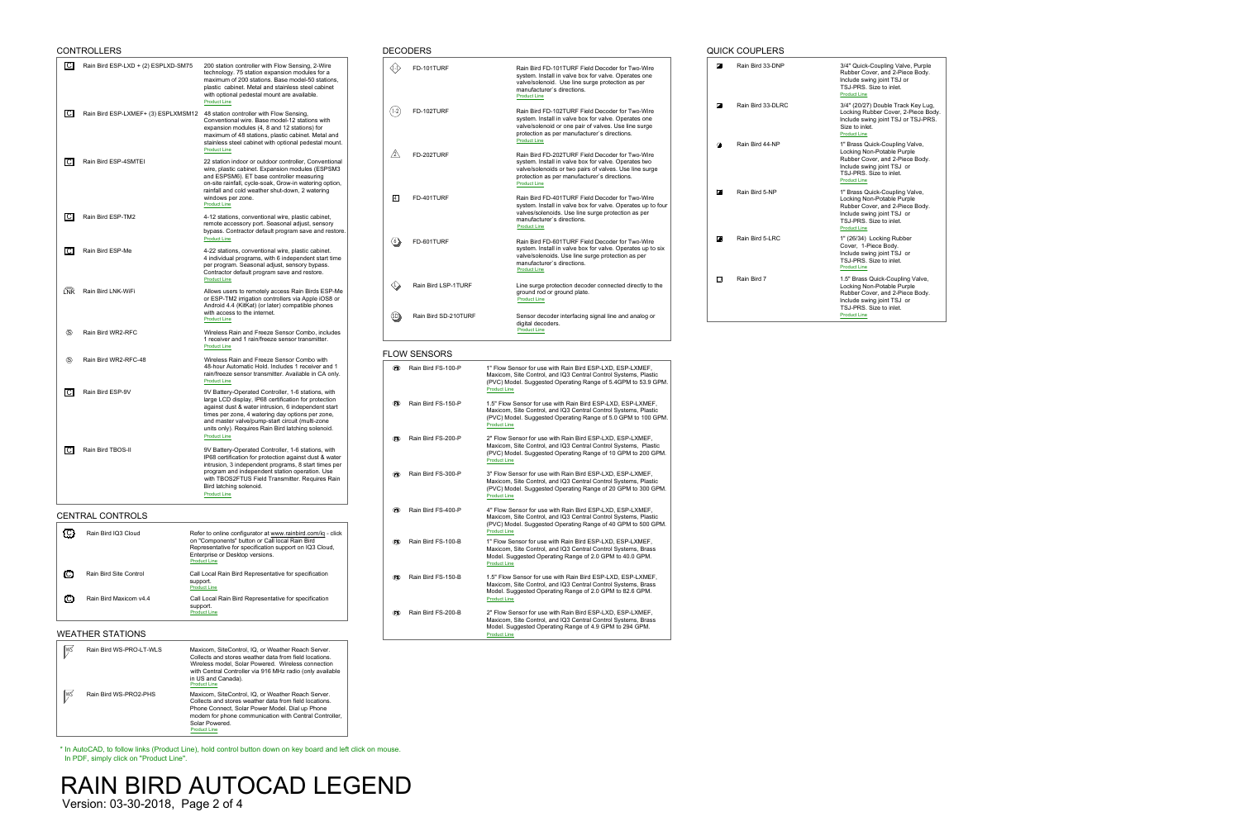| Rain Bird 33-DLRC<br>Size to inlet.<br><b>Product Line</b><br>Rain Bird 44-NP<br>1" Brass Quick-Coupling Valve,<br>☎<br>Locking Non-Potable Purple<br>Include swing joint TSJ or<br>TSJ-PRS. Size to inlet.<br><b>Product Line</b><br>$\bullet$<br>Rain Bird 5-NP<br>1" Brass Quick-Coupling Valve,<br>Locking Non-Potable Purple<br>Include swing joint TSJ or<br>TSJ-PRS. Size to inlet.<br><b>Product Line</b><br>$\bullet$<br>Rain Bird 5-LRC<br>1" (26/34) Locking Rubber<br>Cover, 1-Piece Body.<br>Include swing joint TSJ or<br>TSJ-PRS. Size to inlet.<br><b>Product Line</b><br>O<br>Rain Bird 7<br>Locking Non-Potable Purple<br>Include swing joint TSJ or<br>TSJ-PRS. Size to inlet.<br><b>Product Line</b> |  | Rain Bird 33-DNP | 3/4" Quick-Coupling Valve, Purpl<br>Rubber Cover, and 2-Piece Body<br>Include swing joint TSJ or<br>TSJ-PRS. Size to inlet.<br><b>Product Line</b> |
|--------------------------------------------------------------------------------------------------------------------------------------------------------------------------------------------------------------------------------------------------------------------------------------------------------------------------------------------------------------------------------------------------------------------------------------------------------------------------------------------------------------------------------------------------------------------------------------------------------------------------------------------------------------------------------------------------------------------------|--|------------------|----------------------------------------------------------------------------------------------------------------------------------------------------|
|                                                                                                                                                                                                                                                                                                                                                                                                                                                                                                                                                                                                                                                                                                                          |  |                  | 3/4" (20/27) Double Track Key Lu<br>Locking Rubber Cover, 2-Piece E<br>Include swing joint TSJ or TSJ-PI                                           |
|                                                                                                                                                                                                                                                                                                                                                                                                                                                                                                                                                                                                                                                                                                                          |  |                  | Rubber Cover, and 2-Piece Body                                                                                                                     |
|                                                                                                                                                                                                                                                                                                                                                                                                                                                                                                                                                                                                                                                                                                                          |  |                  | Rubber Cover, and 2-Piece Body                                                                                                                     |
|                                                                                                                                                                                                                                                                                                                                                                                                                                                                                                                                                                                                                                                                                                                          |  |                  |                                                                                                                                                    |
|                                                                                                                                                                                                                                                                                                                                                                                                                                                                                                                                                                                                                                                                                                                          |  |                  | 1.5" Brass Quick-Coupling Valve,<br>Rubber Cover, and 2-Piece Body                                                                                 |

Quick-Coupling Valve, Purple er Cover, and 2-Piece Body. de swing joint TSJ or niciude swirig joint 135<br>TSJ-PRS. Size to inlet.<br><u>[Product Line](http://www.rainbird.com/landscape/products/valves/quickCouplingValves.htm)</u>

> (20/27) Double Track Key Lug, ing Rubber Cover, 2-Piece Body. de swing joint TSJ or TSJ-PRS.

|                              | <b>CONTROLLERS</b>                  |                                                                                                                                                                                                                                                                                                                                |                         | <b>DECODERS</b>      |                                                                                                                                                                                                                                               |
|------------------------------|-------------------------------------|--------------------------------------------------------------------------------------------------------------------------------------------------------------------------------------------------------------------------------------------------------------------------------------------------------------------------------|-------------------------|----------------------|-----------------------------------------------------------------------------------------------------------------------------------------------------------------------------------------------------------------------------------------------|
| $\overline{C}$               | Rain Bird ESP-LXD + (2) ESPLXD-SM75 | 200 station controller with Flow Sensing, 2-Wire<br>technology. 75 station expansion modules for a<br>maximum of 200 stations. Base model-50 stations,<br>plastic cabinet. Metal and stainless steel cabinet<br>with optional pedestal mount are available.<br><b>Product Line</b>                                             | $\langle$ [-1 $\rangle$ | FD-101TURF           | Rain Bird FD-101TURF Field Decoder for Two-Wire<br>system. Install in valve box for valve. Operates one<br>valve/solenoid. Use line surge protection as per<br>manufacturer's directions.<br><b>Product Line</b>                              |
| C                            | Rain Bird ESP-LXMEF+ (3) ESPLXMSM12 | 48 station controller with Flow Sensing,<br>Conventional wire. Base model-12 stations with<br>expansion modules (4, 8 and 12 stations) for<br>maximum of 48 stations, plastic cabinet. Metal and<br>stainless steel cabinet with optional pedestal mount.                                                                      | $1-2$                   | FD-102TURF           | Rain Bird FD-102TURF Field Decoder for Two-Wire<br>system. Install in valve box for valve. Operates one<br>valve/solenoid or one pair of valves. Use line surge<br>protection as per manufacturer's directions.<br><b>Product Line</b>        |
| $\overline{C}$               | Rain Bird ESP-4SMTEI                | <b>Product Line</b><br>22 station indoor or outdoor controller, Conventional<br>wire, plastic cabinet. Expansion modules (ESPSM3<br>and ESPSM6). ET base controller measuring<br>on-site rainfall, cycle-soak, Grow-in watering option,<br>rainfall and cold weather shut-down, 2 watering                                     | $\sqrt{2}$              | FD-202TURF           | Rain Bird FD-202TURF Field Decoder for Two-Wire<br>system. Install in valve box for valve. Operates two<br>valve/solenoids or two pairs of valves. Use line surge<br>protection as per manufacturer's directions.<br><b>Product Line</b>      |
| IC.                          | Rain Bird ESP-TM2                   | windows per zone.<br><b>Product Line</b><br>4-12 stations, conventional wire, plastic cabinet,                                                                                                                                                                                                                                 | 4                       | FD-401TURF           | Rain Bird FD-401TURF Field Decoder for Two-Wire<br>system. Install in valve box for valve. Operates up to four<br>valves/solenoids. Use line surge protection as per<br>manufacturer's directions.                                            |
|                              |                                     | remote accessory port. Seasonal adjust, sensory<br>bypass. Contractor default program save and restore.<br><b>Product Line</b>                                                                                                                                                                                                 | $\langle 6 \rangle$     | FD-601TURF           | <b>Product Line</b><br>Rain Bird FD-601TURF Field Decoder for Two-Wire                                                                                                                                                                        |
| IC.                          | Rain Bird ESP-Me                    | 4-22 stations, conventional wire, plastic cabinet.<br>4 individual programs, with 6 independent start time<br>per program. Seasonal adjust, sensory bypass.<br>Contractor default program save and restore.<br><b>Product Line</b>                                                                                             |                         |                      | system. Install in valve box for valve. Operates up to six<br>valve/solenoids. Use line surge protection as per<br>manufacturer's directions.<br><b>Product Line</b>                                                                          |
| ĹÑĶ                          | Rain Bird LNK-WiFi                  | Allows users to remotely access Rain Birds ESP-Me<br>or ESP-TM2 irrigation controllers via Apple iOS8 or<br>Android 4.4 (KitKat) (or later) compatible phones                                                                                                                                                                  |                         | Rain Bird LSP-1TURF  | Line surge protection decoder connected directly to the<br>ground rod or ground plate.<br><b>Product Line</b>                                                                                                                                 |
| $\langle \mathbb{S} \rangle$ | Rain Bird WR2-RFC                   | with access to the internet.<br><b>Product Line</b><br>Wireless Rain and Freeze Sensor Combo, includes<br>1 receiver and 1 rain/freeze sensor transmitter.                                                                                                                                                                     | (SD)                    | Rain Bird SD-210TURF | Sensor decoder interfacing signal line and analog or<br>digital decoders.<br><b>Product Line</b>                                                                                                                                              |
|                              |                                     | <b>Product Line</b>                                                                                                                                                                                                                                                                                                            |                         | <b>FLOW SENSORS</b>  |                                                                                                                                                                                                                                               |
| $\langle \mathsf{S} \rangle$ | Rain Bird WR2-RFC-48                | Wireless Rain and Freeze Sensor Combo with<br>48-hour Automatic Hold. Includes 1 receiver and 1<br>rain/freeze sensor transmitter. Available in CA only.<br><b>Product Line</b>                                                                                                                                                | (FS)                    | Rain Bird FS-100-P   | 1" Flow Sensor for use with Rain Bird ESP-LXD, ESP-LXMEF,<br>Maxicom, Site Control, and IQ3 Central Control Systems, Plastic<br>(PVC) Model. Suggested Operating Range of 5.4GPM to 53.9 GPM.                                                 |
| C                            | Rain Bird ESP-9V                    | 9V Battery-Operated Controller, 1-6 stations, with<br>large LCD display, IP68 certification for protection<br>against dust & water intrusion, 6 independent start<br>times per zone, 4 watering day options per zone,<br>and master valve/pump-start circuit (multi-zone<br>units only). Requires Rain Bird latching solenoid. | (FS)                    | Rain Bird FS-150-P   | <b>Product Line</b><br>1.5" Flow Sensor for use with Rain Bird ESP-LXD, ESP-LXMEF,<br>Maxicom, Site Control, and IQ3 Central Control Systems, Plastic<br>(PVC) Model. Suggested Operating Range of 5.0 GPM to 100 GPM.<br><b>Product Line</b> |
| $\overline{C}$               | Rain Bird TBOS-II                   | <b>Product Line</b><br>9V Battery-Operated Controller, 1-6 stations, with<br>IP68 certification for protection against dust & water<br>intrusion, 3 independent programs, 8 start times per                                                                                                                                    | (FS)                    | Rain Bird FS-200-P   | 2" Flow Sensor for use with Rain Bird ESP-LXD, ESP-LXMEF,<br>Maxicom, Site Control, and IQ3 Central Control Systems, Plastic<br>(PVC) Model. Suggested Operating Range of 10 GPM to 200 GPM.<br><b>Product Line</b>                           |
|                              |                                     | program and independent station operation. Use<br>with TBOS2FTUS Field Transmitter. Requires Rain<br>Bird latching solenoid.<br><b>Product Line</b>                                                                                                                                                                            | (FS)                    | Rain Bird FS-300-P   | 3" Flow Sensor for use with Rain Bird ESP-LXD, ESP-LXMEF,<br>Maxicom, Site Control, and IQ3 Central Control Systems, Plastic<br>(PVC) Model. Suggested Operating Range of 20 GPM to 300 GPM.<br><b>Product Line</b>                           |
|                              | <b>CENTRAL CONTROLS</b>             |                                                                                                                                                                                                                                                                                                                                | (FS)                    | Rain Bird FS-400-P   | 4" Flow Sensor for use with Rain Bird ESP-LXD, ESP-LXMEF,<br>Maxicom, Site Control, and IQ3 Central Control Systems, Plastic<br>(PVC) Model. Suggested Operating Range of 40 GPM to 500 GPM.<br><b>Product Line</b>                           |
| $\{C\}$                      | Rain Bird IQ3 Cloud                 | Refer to online configurator at www.rainbird.com/iq - click<br>on "Components" button or Call local Rain Bird<br>Representative for specification support on IQ3 Cloud,<br>Enterprise or Desktop versions.<br><b>Product Line</b>                                                                                              | (FS)                    | Rain Bird FS-100-B   | 1" Flow Sensor for use with Rain Bird ESP-LXD, ESP-LXMEF,<br>Maxicom, Site Control, and IQ3 Central Control Systems, Brass<br>Model. Suggested Operating Range of 2.0 GPM to 40.0 GPM.<br><b>Product Line</b>                                 |
| (C)                          | <b>Rain Bird Site Control</b>       | Call Local Rain Bird Representative for specification<br>support.<br><b>Product Line</b>                                                                                                                                                                                                                                       | (FS)                    | Rain Bird FS-150-B   | 1.5" Flow Sensor for use with Rain Bird ESP-LXD, ESP-LXMEF,<br>Maxicom, Site Control, and IQ3 Central Control Systems, Brass                                                                                                                  |
| C.                           | Rain Bird Maxicom v4.4              | Call Local Rain Bird Representative for specification                                                                                                                                                                                                                                                                          |                         |                      | Model. Suggested Operating Range of 2.0 GPM to 82.6 GPM.<br><b>Product Line</b>                                                                                                                                                               |

|     | <b>WEATHER STATIONS</b>                 |                                                                                                                                                                                                                                                                              |  |
|-----|-----------------------------------------|------------------------------------------------------------------------------------------------------------------------------------------------------------------------------------------------------------------------------------------------------------------------------|--|
| ∥ws | Rain Bird WS-PRO-LT-WLS                 | Maxicom, SiteControl, IQ, or Weather Reach Server.<br>Collects and stores weather data from field locations.<br>Wireless model, Solar Powered. Wireless connection<br>with Central Controller via 916 MHz radio (only available<br>in US and Canada).<br><b>Product Line</b> |  |
| ∥WŚ | Rain Bird WS-PRO2-PHS                   | Maxicom, SiteControl, IQ, or Weather Reach Server.<br>Collects and stores weather data from field locations.<br>Phone Connect, Solar Power Model. Dial up Phone<br>modem for phone communication with Central Controller,<br>Solar Powered.<br><b>Product Line</b>           |  |
|     | In PDF, simply click on "Product Line". | * In AutoCAD, to follow links (Product Line), hold control button down on key board and left click on mouse.                                                                                                                                                                 |  |
|     |                                         | N BIRD AUTOCAD LEGEND                                                                                                                                                                                                                                                        |  |

C Rain Bird Maxicom v4.4 Call Local Rain Bird Representative for specification

Cail Locai<br>support.<br>[Product Line](http://www.rainbird.com/landscape/products/central/maxicom.htm)

# WEATHER STATIONS

## QUICK COUPLERS

**RAIN BIRD AUTO**<br>Version: 03-30-2018, Page 2 of 4

# Maxiconi, Site Control, and iQS Central Control Systems, Plastic<br>(PVC) Model. Suggested Operating Range of 5.4GPM to 53.9 GPM. Maxiconi, Site Control, and iQS Central Control Systems, Plastic<br>(PVC) Model. Suggested Operating Range of 5.0 GPM to 100 GPM.

Maxicom, Site Control, and iQS Central Control Systems, Bras<br>Model. Suggested Operating Range of 2.0 GPM to 82.6 GPM.<br>[Product Line](http://www.rainbird.com/landscape/products/flowsensors/flowSensors.htm) Product Line<br>
Rain Bird FS-200-B 2" Flow Sensor for use with Rain Bird ESP-LXD, ESP-LXMEF, Maxicom, Site Control, and IQ3 Central Control Systems, Brass Maxiconi, Site Control, and TOS Central Control Systems, Bra<br>Model. Suggested Operating Range of 4.9 GPM to 294 GPM.<br>Pr[oduct](http://www.rainbird.com/landscape/products/flowsensors/flowSensors.htm) Lin[e](http://www.rainbird.com/landscape/products/flowsensors/flowSensors.htm)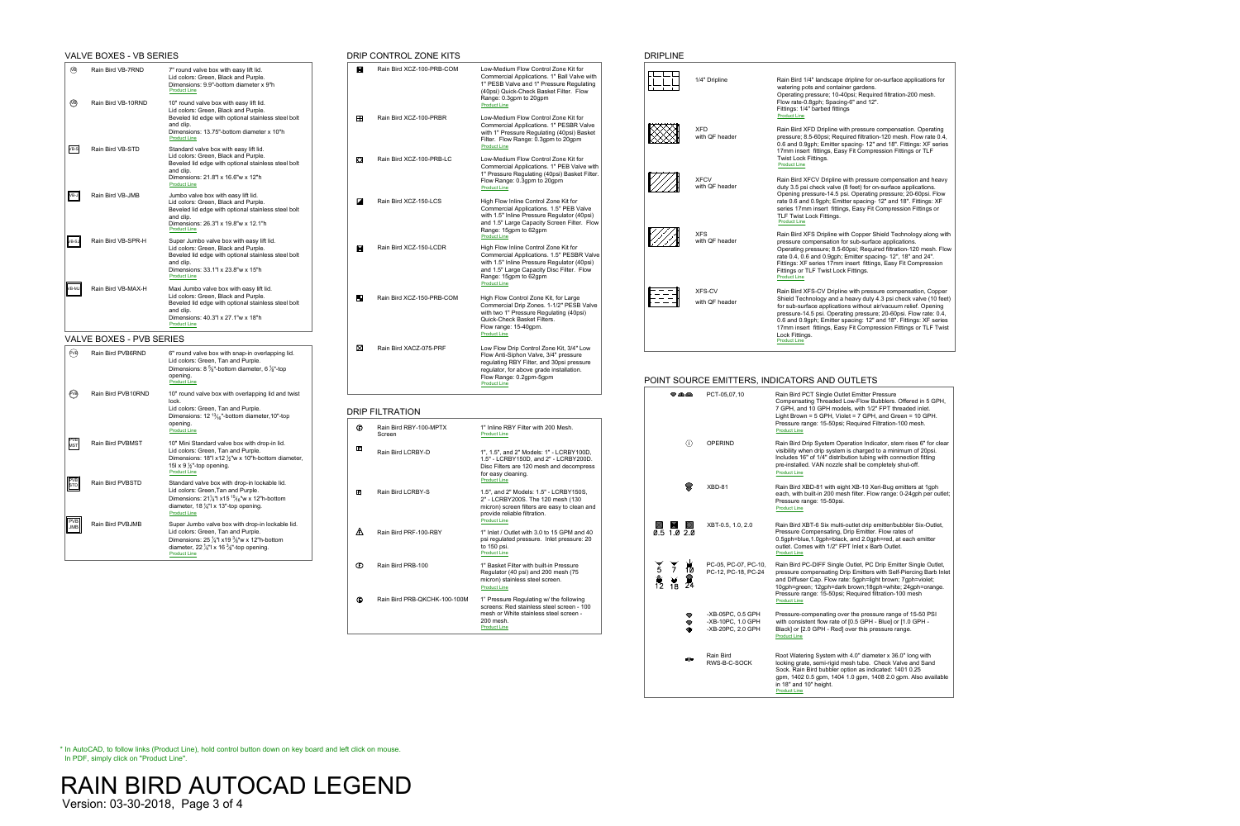|  | 1/4" Dripline                   | Rain Bird 1/4" landscape dripline for on-surface applications for<br>watering pots and container gardens.<br>Operating pressure; 10-40psi; Required filtration-200 mesh.<br>Flow rate-0.8gph; Spacing-6" and 12".<br>Fittings: 1/4" barbed fittings<br><b>Product Line</b>                                                                                                                                                                                |
|--|---------------------------------|-----------------------------------------------------------------------------------------------------------------------------------------------------------------------------------------------------------------------------------------------------------------------------------------------------------------------------------------------------------------------------------------------------------------------------------------------------------|
|  | <b>XFD</b><br>with QF header    | Rain Bird XFD Dripline with pressure compensation. Operating<br>pressure; 8.5-60psi; Required filtration-120 mesh. Flow rate 0.4,<br>0.6 and 0.9gph; Emitter spacing- 12" and 18". Fittings: XF series<br>17mm insert fittings, Easy Fit Compression Fittings or TLF<br><b>Twist Lock Fittings.</b><br><b>Product Line</b>                                                                                                                                |
|  | <b>XFCV</b><br>with QF header   | Rain Bird XFCV Dripline with pressure compensation and heavy<br>duty 3.5 psi check valve (8 feet) for on-surface applications.<br>Opening pressure-14.5 psi. Operating pressure; 20-60psi. Flow<br>rate 0.6 and 0.9gph; Emitter spacing- 12" and 18". Fittings: XF<br>series 17mm insert fittings, Easy Fit Compression Fittings or<br><b>TLF Twist Lock Fittings.</b><br><b>Product Line</b>                                                             |
|  | <b>XFS</b><br>with QF header    | Rain Bird XFS Dripline with Copper Shield Technology along with<br>pressure compensation for sub-surface applications.<br>Operating pressure; 8.5-60psi; Required filtration-120 mesh. Flow<br>rate 0.4, 0.6 and 0.9gph; Emitter spacing- 12", 18" and 24".<br>Fittings: XF series 17mm insert fittings, Easy Fit Compression<br>Fittings or TLF Twist Lock Fittings.<br><b>Product Line</b>                                                              |
|  | <b>XFS-CV</b><br>with QF header | Rain Bird XFS-CV Dripline with pressure compensation, Copper<br>Shield Technology and a heavy duty 4.3 psi check valve (10 feet)<br>for sub-surface applications without air/vacuum relief. Opening<br>pressure-14.5 psi. Operating pressure; 20-60psi. Flow rate: 0.4,<br>0.6 and 0.9gph; Emitter spacing: 12" and 18". Fittings: XF series<br>17mm insert fittings, Easy Fit Compression Fittings or TLF Twist<br>Lock Fittings.<br><b>Product Line</b> |

|                |                     |                                                             | POINT SOURCE EMITTERS, INDICATORS AND OUTLETS                                                                                                                                                                                                                                                                                                     |
|----------------|---------------------|-------------------------------------------------------------|---------------------------------------------------------------------------------------------------------------------------------------------------------------------------------------------------------------------------------------------------------------------------------------------------------------------------------------------------|
|                | $\triangle$         | PCT-05,07,10                                                | Rain Bird PCT Single Outlet Emitter Pressure<br>Compensating Threaded Low-Flow Bubblers. Offered in 5 GPH,<br>7 GPH, and 10 GPH models, with 1/2" FPT threaded inlet.<br>Light Brown = $5$ GPH, Violet = $7$ GPH, and Green = $10$ GPH.<br>Pressure range: 15-50psi; Required Filtration-100 mesh.<br><b>Product Line</b>                         |
|                | $\langle i \rangle$ | <b>OPERIND</b>                                              | Rain Bird Drip System Operation Indicator, stem rises 6" for clear<br>visibility when drip system is charged to a minimum of 20psi.<br>Includes 16" of 1/4" distribution tubing with connection fitting<br>pre-installed. VAN nozzle shall be completely shut-off.<br><b>Product Line</b>                                                         |
|                |                     | XBD-81                                                      | Rain Bird XBD-81 with eight XB-10 Xeri-Bug emitters at 1gph<br>each, with built-in 200 mesh filter. Flow range: 0-24gph per outlet;<br>Pressure range: 15-50psi.<br><b>Product Line</b>                                                                                                                                                           |
|                | $0.5$ 1.0 2.0       | XBT-0.5, 1.0, 2.0                                           | Rain Bird XBT-6 Six multi-outlet drip emitter/bubbler Six-Outlet,<br>Pressure Compensating, Drip Emitter. Flow rates of<br>0.5gph=blue, 1.0gph=black, and 2.0gph=red, at each emitter<br>outlet. Comes with 1/2" FPT Inlet x Barb Outlet.<br><b>Product Line</b>                                                                                  |
| $\overline{5}$ |                     | PC-05, PC-07, PC-10,<br>PC-12, PC-18, PC-24                 | Rain Bird PC-DIFF Single Outlet, PC Drip Emitter Single Outlet,<br>pressure compensating Drip Emitters with Self-Piercing Barb Inlet<br>and Diffuser Cap. Flow rate: 5gph=light brown; 7gph=violet;<br>10gph=green; 12gph=dark brown; 18gph=white; 24gph=orange.<br>Pressure range: 15-50psi; Required filtration-100 mesh<br><b>Product Line</b> |
|                |                     | -XB-05PC, 0.5 GPH<br>-XB-10PC, 1.0 GPH<br>-XB-20PC, 2.0 GPH | Pressure-compenating over the pressure range of 15-50 PSI<br>with consistent flow rate of [0.5 GPH - Blue] or [1.0 GPH -<br>Black] or [2.0 GPH - Red] over this pressure range.<br><b>Product Line</b>                                                                                                                                            |
|                |                     | <b>Rain Bird</b><br>RWS-B-C-SOCK                            | Root Watering System with 4.0" diameter x 36.0" long with<br>locking grate, semi-rigid mesh tube. Check Valve and Sand<br>Sock. Rain Bird bubbler option as indicated: 1401 0.25<br>gpm, 1402 0.5 gpm, 1404 1.0 gpm, 1408 2.0 gpm. Also available<br>in 18" and 10" height.<br><b>Product Line</b>                                                |
|                |                     |                                                             |                                                                                                                                                                                                                                                                                                                                                   |

|                                                          | <b>VALVE BOXES - VB SERIES</b>  |                                                                                                                                                                                                                                                     |                                | DRIP CONTROL ZONE KITS           |                                                                                                                                                                                                                                       | <b>DRIPLINE</b> |
|----------------------------------------------------------|---------------------------------|-----------------------------------------------------------------------------------------------------------------------------------------------------------------------------------------------------------------------------------------------------|--------------------------------|----------------------------------|---------------------------------------------------------------------------------------------------------------------------------------------------------------------------------------------------------------------------------------|-----------------|
| $\widehat{VB}$                                           | Rain Bird VB-7RND               | 7" round valve box with easy lift lid.<br>Lid colors: Green, Black and Purple.<br>Dimensions: 9.9"-bottom diameter x 9"h<br><b>Product Line</b>                                                                                                     | $\blacksquare$                 | Rain Bird XCZ-100-PRB-COM        | Low-Medium Flow Control Zone Kit for<br>Commercial Applications. 1" Ball Valve with<br>1" PESB Valve and 1" Pressure Regulating<br>(40psi) Quick-Check Basket Filter. Flow<br>Range: 0.3gpm to 20gpm                                  |                 |
| $\bigcirc$                                               | Rain Bird VB-10RND              | 10" round valve box with easy lift lid.<br>Lid colors: Green, Black and Purple.<br>Beveled lid edge with optional stainless steel bolt<br>and clip.<br>Dimensions: 13.75"-bottom diameter x 10"h<br><b>Product Line</b>                             | $\mathbf{H}$                   | Rain Bird XCZ-100-PRBR           | <b>Product Line</b><br>Low-Medium Flow Control Zone Kit for<br><b>Commercial Applications. 1" PESBR Valve</b><br>with 1" Pressure Regulating (40psi) Basket<br>Filter. Flow Range: 0.3gpm to 20gpm                                    |                 |
| $VB-S$                                                   | Rain Bird VB-STD                | Standard valve box with easy lift lid.<br>Lid colors: Green, Black and Purple.<br>Beveled lid edge with optional stainless steel bolt<br>and clip.<br>Dimensions: 21.8"  x 16.6"w x 12"h<br><b>Product Line</b>                                     | $\boldsymbol{\mathsf{\Omega}}$ | Rain Bird XCZ-100-PRB-LC         | <b>Product Line</b><br>Low-Medium Flow Control Zone Kit for<br>Commercial Applications. 1" PEB Valve with<br>1" Pressure Regulating (40psi) Basket Filter.<br>Flow Range: 0.3gpm to 20gpm<br><b>Product Line</b>                      |                 |
| $\ $ VB-J $\ $                                           | Rain Bird VB-JMB                | Jumbo valve box with easy lift lid.<br>Lid colors: Green, Black and Purple.<br>Beveled lid edge with optional stainless steel bolt<br>and clip.<br>Dimensions: 26.3"  x 19.8"w x 12.1"h<br><b>Product Line</b>                                      | $\overline{\mathbf{z}}$        | Rain Bird XCZ-150-LCS            | High Flow Inline Control Zone Kit for<br>Commercial Applications. 1.5" PEB Valve<br>with 1.5" Inline Pressure Regulator (40psi)<br>and 1.5" Large Capacity Screen Filter. Flow<br>Range: 15gpm to 62gpm<br><b>Product Line</b>        |                 |
| $\ $ VB-SJ                                               | Rain Bird VB-SPR-H              | Super Jumbo valve box with easy lift lid.<br>Lid colors: Green, Black and Purple.<br>Beveled lid edge with optional stainless steel bolt<br>and clip.<br>Dimensions: 33.1"  x 23.8"w x 15"h<br><b>Product Line</b>                                  | $\blacksquare$                 | Rain Bird XCZ-150-LCDR           | High Flow Inline Control Zone Kit for<br><b>Commercial Applications. 1.5" PESBR Valve</b><br>with 1.5" Inline Pressure Regulator (40psi)<br>and 1.5" Large Capacity Disc Filter. Flow<br>Range: 15gpm to 62gpm<br><b>Product Line</b> | 1/7/7           |
| VB-MJ                                                    | Rain Bird VB-MAX-H              | Maxi Jumbo valve box with easy lift lid.<br>Lid colors: Green, Black and Purple.<br>Beveled lid edge with optional stainless steel bolt<br>and clip.<br>Dimensions: 40.3"  x 27.1"w x 18"h<br><b>Product Line</b>                                   | Н                              | Rain Bird XCZ-150-PRB-COM        | High Flow Control Zone Kit, for Large<br>Commercial Drip Zones. 1-1/2" PESB Valve<br>with two 1" Pressure Regulating (40psi)<br>Quick-Check Basket Filters.<br>Flow range: 15-40gpm.<br><b>Product Line</b>                           | $\sim$ $-$      |
|                                                          | <b>VALVE BOXES - PVB SERIES</b> |                                                                                                                                                                                                                                                     |                                |                                  |                                                                                                                                                                                                                                       |                 |
| (PVB)                                                    | Rain Bird PVB6RND               | 6" round valve box with snap-in overlapping lid.<br>Lid colors: Green, Tan and Purple.<br>Dimensions: 8 $\frac{5}{8}$ "-bottom diameter, 6 $\frac{1}{8}$ "-top<br>opening.<br><b>Product Line</b>                                                   | ⊠                              | Rain Bird XACZ-075-PRF           | Low Flow Drip Control Zone Kit, 3/4" Low<br>Flow Anti-Siphon Valve, 3/4" pressure<br>regulating RBY Filter, and 30psi pressure<br>regulator, for above grade installation.<br>Flow Range: 0.2gpm-5gpm<br><b>Product Line</b>          | <b>POINT SC</b> |
| (v)                                                      | Rain Bird PVB10RND              | 10" round valve box with overlapping lid and twist<br>lock.<br>Lid colors: Green, Tan and Purple.<br>Dimensions: $12^{13/16}$ -bottom diameter, 10"-top                                                                                             |                                | <b>DRIP FILTRATION</b>           |                                                                                                                                                                                                                                       | $\mathcal{D}$   |
|                                                          |                                 | opening.<br><b>Product Line</b>                                                                                                                                                                                                                     | $\bigoplus$                    | Rain Bird RBY-100-MPTX<br>Screen | 1" Inline RBY Filter with 200 Mesh.<br><b>Product Line</b>                                                                                                                                                                            |                 |
| <b>PVB</b><br>MST                                        | Rain Bird PVBMST                | 10" Mini Standard valve box with drop-in lid.<br>Lid colors: Green, Tan and Purple.<br>Dimensions: 18"  x12 $\frac{1}{2}$ "w x 10"h-bottom diameter,<br>15l x 9 $\frac{1}{2}$ "-top opening.<br><b>Product Line</b>                                 | $\mathbf{E}$                   | <b>Rain Bird LCRBY-D</b>         | 1", 1.5", and 2" Models: 1" - LCRBY100D,<br>1.5" - LCRBY150D, and 2" - LCRBY200D.<br>Disc Filters are 120 mesh and decompress<br>for easy cleaning.                                                                                   |                 |
| $\overline{\begin{bmatrix} \nPCB \\ STD\n\end{bmatrix}}$ | Rain Bird PVBSTD                | Standard valve box with drop-in lockable lid.<br>Lid colors: Green, Tan and Purple.<br>Dimensions: $21\frac{1}{4}$ " x15 <sup>15</sup> / <sub>16</sub> " w x 12" h-bottom<br>diameter, 18 $\frac{1}{4}$ " x 13"-top opening.<br><b>Product Line</b> | $\mathbf{E}$                   | <b>Rain Bird LCRBY-S</b>         | <b>Product Line</b><br>1.5", and 2" Models: 1.5" - LCRBY150S,<br>2" - LCRBY200S. The 120 mesh (130<br>micron) screen filters are easy to clean and<br>provide reliable filtration.<br><b>Product Line</b>                             |                 |
| PVB<br>JMB                                               | Rain Bird PVBJMB                | Super Jumbo valve box with drop-in lockable lid.<br>Lid colors: Green, Tan and Purple.<br>Dimensions: $25\frac{1}{4}$ " x19 $\frac{3}{8}$ "w x 12"h-bottom<br>diameter, 22 $\frac{1}{4}$ " x 16 $\frac{3}{8}$ "-top opening.<br><b>Product Line</b> | 困                              | Rain Bird PRF-100-RBY            | 1" Inlet / Outlet with 3.0 to 15 GPM and 40<br>psi regulated pressure. Inlet pressure: 20<br>to 150 psi.<br><b>Product Line</b>                                                                                                       | X<br>0.5 1.0    |
|                                                          |                                 |                                                                                                                                                                                                                                                     | $\mathbf \Phi$                 | Rain Bird PRB-100                | 1" Basket Filter with built-in Pressure<br>Regulator (40 psi) and 200 mesh (75<br>micron) stainless steel screen                                                                                                                      |                 |

In AutoCAD, to follow links (Product Line), hold control button down on key board and left click on mouse.<br>In PDF, simply click on "Product Line".<br>RAIN BIRD AUTOCAD LEGEND \* In AutoCAD, to follow links (Product Line), hold control button down on key board and left click on mouse. In PDF, simply click on "Product Line".

**RAIN BIRD AUTO**<br>Version: 03-30-2018, Page 3 of 4

|                                | RIP CONTROL ZONE KITS            |                                                                                                                                                                                                                                       |
|--------------------------------|----------------------------------|---------------------------------------------------------------------------------------------------------------------------------------------------------------------------------------------------------------------------------------|
| $\blacksquare$                 | Rain Bird XCZ-100-PRB-COM        | Low-Medium Flow Control Zone Kit for<br>Commercial Applications. 1" Ball Valve with<br>1" PESB Valve and 1" Pressure Regulating<br>(40psi) Quick-Check Basket Filter. Flow<br>Range: 0.3gpm to 20gpm<br><b>Product Line</b>           |
| 田                              | Rain Bird XCZ-100-PRBR           | Low-Medium Flow Control Zone Kit for<br><b>Commercial Applications. 1" PESBR Valve</b><br>with 1" Pressure Regulating (40psi) Basket<br>Filter. Flow Range: 0.3gpm to 20gpm<br><b>Product Line</b>                                    |
| $\boldsymbol{\mathsf{\Omega}}$ | Rain Bird XCZ-100-PRB-LC         | Low-Medium Flow Control Zone Kit for<br>Commercial Applications. 1" PEB Valve with<br>1" Pressure Regulating (40psi) Basket Filter.<br>Flow Range: 0.3gpm to 20gpm<br><b>Product Line</b>                                             |
|                                | Rain Bird XCZ-150-LCS            | High Flow Inline Control Zone Kit for<br><b>Commercial Applications. 1.5" PEB Valve</b><br>with 1.5" Inline Pressure Regulator (40psi)<br>and 1.5" Large Capacity Screen Filter. Flow<br>Range: 15gpm to 62gpm<br><b>Product Line</b> |
| X                              | Rain Bird XCZ-150-LCDR           | High Flow Inline Control Zone Kit for<br><b>Commercial Applications. 1.5" PESBR Valve</b><br>with 1.5" Inline Pressure Regulator (40psi)<br>and 1.5" Large Capacity Disc Filter. Flow<br>Range: 15gpm to 62gpm<br><b>Product Line</b> |
| H                              | Rain Bird XCZ-150-PRB-COM        | High Flow Control Zone Kit, for Large<br>Commercial Drip Zones. 1-1/2" PESB Valve<br>with two 1" Pressure Regulating (40psi)<br><b>Quick-Check Basket Filters.</b><br>Flow range: 15-40gpm.<br><b>Product Line</b>                    |
| ⊠                              | Rain Bird XACZ-075-PRF           | Low Flow Drip Control Zone Kit, 3/4" Low<br>Flow Anti-Siphon Valve, 3/4" pressure<br>regulating RBY Filter, and 30psi pressure<br>regulator, for above grade installation.<br>Flow Range: 0.2gpm-5gpm<br><b>Product Line</b>          |
|                                | <b>RIP FILTRATION</b>            |                                                                                                                                                                                                                                       |
| $\bigoplus$                    | Rain Bird RBY-100-MPTX<br>Screen | 1" Inline RBY Filter with 200 Mesh.<br><b>Product Line</b>                                                                                                                                                                            |
| $\mathbf E$                    | Rain Bird LCRBY-D                | 1", 1.5", and 2" Models: 1" - LCRBY100D,<br>1.5" - LCRBY150D, and 2" - LCRBY200D.<br>Disc Filters are 120 mesh and decompress<br>for easy cleaning.<br><b>Product Line</b>                                                            |
| 囬                              | Rain Bird LCRBY-S                | 1.5", and 2" Models: 1.5" - LCRBY150S,<br>2" - LCRBY200S. The 120 mesh (130<br>micron) screen filters are easy to clean and<br>provide reliable filtration.<br><b>Product Line</b>                                                    |
| ⁄F\                            | Rain Bird PRF-100-RBY            | 1" Inlet / Outlet with 3.0 to 15 GPM and 40<br>psi regulated pressure. Inlet pressure: 20<br>to 150 psi.<br><b>Product Line</b>                                                                                                       |
| Œ                              | Rain Bird PRB-100                | 1" Basket Filter with built-in Pressure<br>Regulator (40 psi) and 200 mesh (75<br>micron) stainless steel screen.<br><b>Product Line</b>                                                                                              |
| $\bf \Phi$                     | Rain Bird PRB-QKCHK-100-100M     | 1" Pressure Regulating w/ the following<br>screens: Red stainless steel screen - 100<br>mesh or White stainless steel screen -<br>200 mesh.<br><b>Product Line</b>                                                                    |

# POINT SOURCE EMITTERS, INDICATORS AND OUTLETS